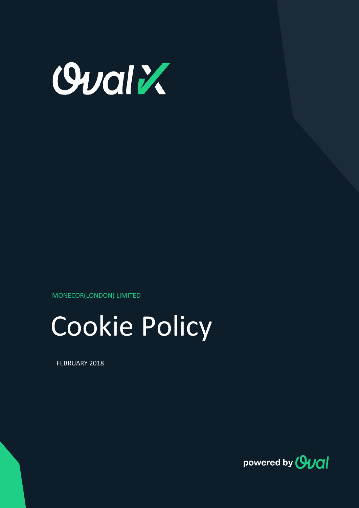

MONECOR(LONDON) LIMITED



FEBRUARY 2018

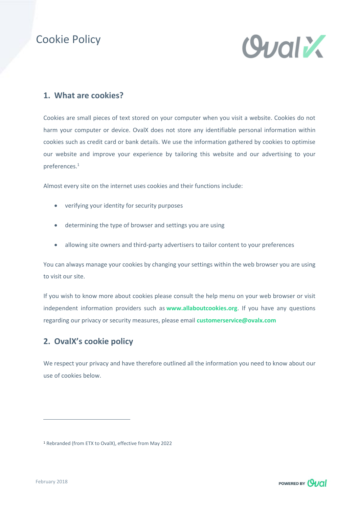## Cookie Policy



## **1. What are cookies?**

Cookies are small pieces of text stored on your computer when you visit a website. Cookies do not harm your computer or device. OvalX does not store any identifiable personal information within cookies such as credit card or bank details. We use the information gathered by cookies to optimise our website and improve your experience by tailoring this website and our advertising to your preferences. 1

Almost every site on the internet uses cookies and their functions include:

- verifying your identity for security purposes
- determining the type of browser and settings you are using
- allowing site owners and third-party advertisers to tailor content to your preferences

You can always manage your cookies by changing your settings within the web browser you are using to visit our site.

If you wish to know more about cookies please consult the help menu on your web browser or visit independent information providers such as **[www.allaboutcookies.org](http://www.allaboutcookies.org/)**. If you have any questions regarding our privacy or security measures, please email **customerservice@ovalx.com**

## **2. OvalX's cookie policy**

We respect your privacy and have therefore outlined all the information you need to know about our use of cookies below.



<sup>1</sup> Rebranded (from ETX to OvalX), effective from May 2022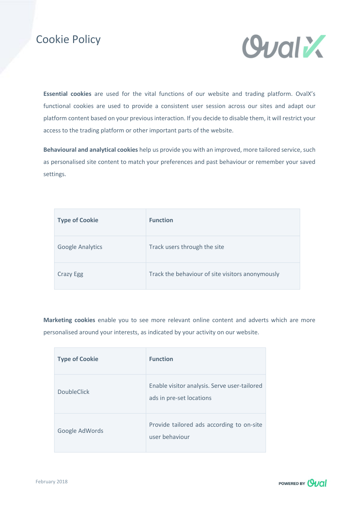## Cookie Policy



**Essential cookies** are used for the vital functions of our website and trading platform. OvalX's functional cookies are used to provide a consistent user session across our sites and adapt our platform content based on your previous interaction. If you decide to disable them, it will restrict your access to the trading platform or other important parts of the website.

**Behavioural and analytical cookies** help us provide you with an improved, more tailored service, such as personalised site content to match your preferences and past behaviour or remember your saved settings.

| <b>Type of Cookie</b>   | <b>Function</b>                                  |
|-------------------------|--------------------------------------------------|
| <b>Google Analytics</b> | Track users through the site                     |
| Crazy Egg               | Track the behaviour of site visitors anonymously |

**Marketing cookies** enable you to see more relevant online content and adverts which are more personalised around your interests, as indicated by your activity on our website.

| <b>Type of Cookie</b> | <b>Function</b>                                                          |
|-----------------------|--------------------------------------------------------------------------|
| <b>DoubleClick</b>    | Enable visitor analysis. Serve user-tailored<br>ads in pre-set locations |
| Google AdWords        | Provide tailored ads according to on-site<br>user behaviour              |